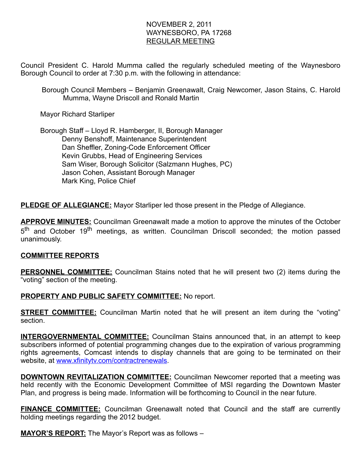# NOVEMBER 2, 2011 WAYNESBORO, PA 17268 REGULAR MEETING

Council President C. Harold Mumma called the regularly scheduled meeting of the Waynesboro Borough Council to order at 7:30 p.m. with the following in attendance:

Borough Council Members – Benjamin Greenawalt, Craig Newcomer, Jason Stains, C. Harold Mumma, Wayne Driscoll and Ronald Martin

Mayor Richard Starliper

 Borough Staff – Lloyd R. Hamberger, II, Borough Manager Denny Benshoff, Maintenance Superintendent Dan Sheffler, Zoning-Code Enforcement Officer Kevin Grubbs, Head of Engineering Services Sam Wiser, Borough Solicitor (Salzmann Hughes, PC) Jason Cohen, Assistant Borough Manager Mark King, Police Chief

**PLEDGE OF ALLEGIANCE:** Mayor Starliper led those present in the Pledge of Allegiance.

**APPROVE MINUTES:** Councilman Greenawalt made a motion to approve the minutes of the October 5<sup>th</sup> and October 19<sup>th</sup> meetings, as written. Councilman Driscoll seconded; the motion passed unanimously.

## COMMITTEE REPORTS

**PERSONNEL COMMITTEE:** Councilman Stains noted that he will present two (2) items during the "voting" section of the meeting.

## PROPERTY AND PUBLIC SAFETY COMMITTEE: No report.

**STREET COMMITTEE:** Councilman Martin noted that he will present an item during the "voting" section.

**INTERGOVERNMENTAL COMMITTEE:** Councilman Stains announced that, in an attempt to keep subscribers informed of potential programming changes due to the expiration of various programming rights agreements, Comcast intends to display channels that are going to be terminated on their website, at www.xfinityty.com/contractrenewals.

**DOWNTOWN REVITALIZATION COMMITTEE:** Councilman Newcomer reported that a meeting was held recently with the Economic Development Committee of MSI regarding the Downtown Master Plan, and progress is being made. Information will be forthcoming to Council in the near future.

**FINANCE COMMITTEE:** Councilman Greenawalt noted that Council and the staff are currently holding meetings regarding the 2012 budget.

**MAYOR'S REPORT:** The Mayor's Report was as follows -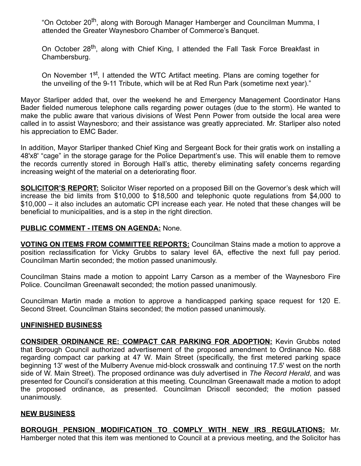"On October 20<sup>th</sup>, along with Borough Manager Hamberger and Councilman Mumma, I attended the Greater Waynesboro Chamber of Commerce's Banquet.

On October 28<sup>th</sup>, along with Chief King, I attended the Fall Task Force Breakfast in Chambersburg.

On November 1<sup>st</sup>, I attended the WTC Artifact meeting. Plans are coming together for the unveiling of the 9-11 Tribute, which will be at Red Run Park (sometime next year)."

Mayor Starliper added that, over the weekend he and Emergency Management Coordinator Hans Bader fielded numerous telephone calls regarding power outages (due to the storm). He wanted to make the public aware that various divisions of West Penn Power from outside the local area were called in to assist Waynesboro; and their assistance was greatly appreciated. Mr. Starliper also noted his appreciation to EMC Bader.

In addition, Mayor Starliper thanked Chief King and Sergeant Bock for their gratis work on installing a 48'x8' "cage" in the storage garage for the Police Department's use. This will enable them to remove the records currently stored in Borough Hall's attic, thereby eliminating safety concerns regarding increasing weight of the material on a deteriorating floor.

**SOLICITOR'S REPORT:** Solicitor Wiser reported on a proposed Bill on the Governor's desk which will increase the bid limits from \$10,000 to \$18,500 and telephonic quote regulations from \$4,000 to \$10,000 – it also includes an automatic CPI increase each year. He noted that these changes will be beneficial to municipalities, and is a step in the right direction.

## PUBLIC COMMENT - ITEMS ON AGENDA: None.

VOTING ON ITEMS FROM COMMITTEE REPORTS: Councilman Stains made a motion to approve a position reclassification for Vicky Grubbs to salary level 6A, effective the next full pay period. Councilman Martin seconded; the motion passed unanimously.

Councilman Stains made a motion to appoint Larry Carson as a member of the Waynesboro Fire Police. Councilman Greenawalt seconded; the motion passed unanimously.

Councilman Martin made a motion to approve a handicapped parking space request for 120 E. Second Street. Councilman Stains seconded; the motion passed unanimously.

#### UNFINISHED BUSINESS

CONSIDER ORDINANCE RE: COMPACT CAR PARKING FOR ADOPTION: Kevin Grubbs noted that Borough Council authorized advertisement of the proposed amendment to Ordinance No. 688 regarding compact car parking at 47 W. Main Street (specifically, the first metered parking space beginning 13' west of the Mulberry Avenue mid-block crosswalk and continuing 17.5' west on the north side of W. Main Street). The proposed ordinance was duly advertised in The Record Herald, and was presented for Council's consideration at this meeting. Councilman Greenawalt made a motion to adopt the proposed ordinance, as presented. Councilman Driscoll seconded; the motion passed unanimously.

#### NEW BUSINESS

**BOROUGH PENSION MODIFICATION TO COMPLY WITH NEW IRS REGULATIONS: Mr.** Hamberger noted that this item was mentioned to Council at a previous meeting, and the Solicitor has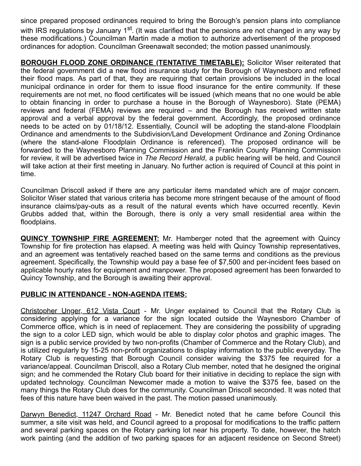since prepared proposed ordinances required to bring the Borough's pension plans into compliance with IRS regulations by January 1<sup>st</sup>. (It was clarified that the pensions are not changed in any way by these modifications.) Councilman Martin made a motion to authorize advertisement of the proposed ordinances for adoption. Councilman Greenawalt seconded; the motion passed unanimously.

**BOROUGH FLOOD ZONE ORDINANCE (TENTATIVE TIMETABLE):** Solicitor Wiser reiterated that the federal government did a new flood insurance study for the Borough of Waynesboro and refined their flood maps. As part of that, they are requiring that certain provisions be included in the local municipal ordinance in order for them to issue flood insurance for the entire community. If these requirements are not met, no flood certificates will be issued (which means that no one would be able to obtain financing in order to purchase a house in the Borough of Waynesboro). State (PEMA) reviews and federal (FEMA) reviews are required – and the Borough has received written state approval and a verbal approval by the federal government. Accordingly, the proposed ordinance needs to be acted on by 01/18/12. Essentially, Council will be adopting the stand-alone Floodplain Ordinance and amendments to the Subdivision/Land Development Ordinance and Zoning Ordinance (where the stand-alone Floodplain Ordinance is referenced). The proposed ordinance will be forwarded to the Waynesboro Planning Commission and the Franklin County Planning Commission for review, it will be advertised twice in The Record Herald, a public hearing will be held, and Council will take action at their first meeting in January. No further action is required of Council at this point in time.

Councilman Driscoll asked if there are any particular items mandated which are of major concern. Solicitor Wiser stated that various criteria has become more stringent because of the amount of flood insurance claims/pay-outs as a result of the natural events which have occurred recently. Kevin Grubbs added that, within the Borough, there is only a very small residential area within the floodplains.

**QUINCY TOWNSHIP FIRE AGREEMENT:** Mr. Hamberger noted that the agreement with Quincy Township for fire protection has elapsed. A meeting was held with Quincy Township representatives, and an agreement was tentatively reached based on the same terms and conditions as the previous agreement. Specifically, the Township would pay a base fee of \$7,500 and per-incident fees based on applicable hourly rates for equipment and manpower. The proposed agreement has been forwarded to Quincy Township, and the Borough is awaiting their approval.

# PUBLIC IN ATTENDANCE - NON-AGENDA ITEMS:

Christopher Unger, 612 Vista Court - Mr. Unger explained to Council that the Rotary Club is considering applying for a variance for the sign located outside the Waynesboro Chamber of Commerce office, which is in need of replacement. They are considering the possibility of upgrading the sign to a color LED sign, which would be able to display color photos and graphic images. The sign is a public service provided by two non-profits (Chamber of Commerce and the Rotary Club), and is utilized regularly by 15-25 non-profit organizations to display information to the public everyday. The Rotary Club is requesting that Borough Council consider waiving the \$375 fee required for a variance/appeal. Councilman Driscoll, also a Rotary Club member, noted that he designed the original sign; and he commended the Rotary Club board for their initiative in deciding to replace the sign with updated technology. Councilman Newcomer made a motion to waive the \$375 fee, based on the many things the Rotary Club does for the community. Councilman Driscoll seconded. It was noted that fees of this nature have been waived in the past. The motion passed unanimously.

Darwyn Benedict, 11247 Orchard Road - Mr. Benedict noted that he came before Council this summer, a site visit was held, and Council agreed to a proposal for modifications to the traffic pattern and several parking spaces on the Rotary parking lot near his property. To date, however, the hatch work painting (and the addition of two parking spaces for an adjacent residence on Second Street)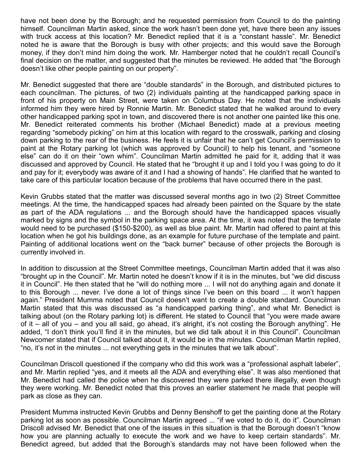have not been done by the Borough; and he requested permission from Council to do the painting himself. Councilman Martin asked, since the work hasn't been done yet, have there been any issues with truck access at this location? Mr. Benedict replied that it is a "constant hassle". Mr. Benedict noted he is aware that the Borough is busy with other projects; and this would save the Borough money, if they don't mind him doing the work. Mr. Hamberger noted that he couldn't recall Council's final decision on the matter, and suggested that the minutes be reviewed. He added that "the Borough doesn't like other people painting on our property".

Mr. Benedict suggested that there are "double standards" in the Borough, and distributed pictures to each councilman. The pictures, of two (2) individuals painting at the handicapped parking space in front of his property on Main Street, were taken on Columbus Day. He noted that the individuals informed him they were hired by Ronnie Martin. Mr. Benedict stated that he walked around to every other handicapped parking spot in town, and discovered there is not another one painted like this one. Mr. Benedict reiterated comments his brother (Michael Benedict) made at a previous meeting regarding "somebody picking" on him at this location with regard to the crosswalk, parking and closing down parking to the rear of the business. He feels it is unfair that he can't get Council's permission to paint at the Rotary parking lot (which was approved by Council) to help his tenant, and "someone else" can do it on their "own whim". Councilman Martin admitted he paid for it, adding that it was discussed and approved by Council. He stated that he "brought it up and I told you I was going to do it and pay for it; everybody was aware of it and I had a showing of hands". He clarified that he wanted to take care of this particular location because of the problems that have occurred there in the past.

Kevin Grubbs stated that the matter was discussed several months ago in two (2) Street Committee meetings. At the time, the handicapped spaces had already been painted on the Square by the state as part of the ADA regulations ... and the Borough should have the handicapped spaces visually marked by signs and the symbol in the parking space area. At the time, it was noted that the template would need to be purchased (\$150-\$200), as well as blue paint. Mr. Martin had offered to paint at this location when he got his buildings done, as an example for future purchase of the template and paint. Painting of additional locations went on the "back burner" because of other projects the Borough is currently involved in.

In addition to discussion at the Street Committee meetings, Councilman Martin added that it was also "brought up in the Council". Mr. Martin noted he doesn't know if it is in the minutes, but "we did discuss it in Council". He then stated that he "will do nothing more ... I will not do anything again and donate it to this Borough ... never. I've done a lot of things since I've been on this board ... it won't happen again." President Mumma noted that Council doesn't want to create a double standard. Councilman Martin stated that this was discussed as "a handicapped parking thing", and what Mr. Benedict is talking about (on the Rotary parking lot) is different. He stated to Council that "you were made aware of it – all of you – and you all said, go ahead, it's alright, it's not costing the Borough anything". He added, "I don't think you'll find it in the minutes, but we did talk about it in this Council". Councilman Newcomer stated that if Council talked about it, it would be in the minutes. Councilman Martin replied, "no, it's not in the minutes ... not everything gets in the minutes that we talk about".

Councilman Driscoll questioned if the company who did this work was a "professional asphalt labeler", and Mr. Martin replied "yes, and it meets all the ADA and everything else". It was also mentioned that Mr. Benedict had called the police when he discovered they were parked there illegally, even though they were working. Mr. Benedict noted that this proves an earlier statement he made that people will park as close as they can.

President Mumma instructed Kevin Grubbs and Denny Benshoff to get the painting done at the Rotary parking lot as soon as possible. Councilman Martin agreed ... "if we voted to do it, do it". Councilman Driscoll advised Mr. Benedict that one of the issues in this situation is that the Borough doesn't "know how you are planning actually to execute the work and we have to keep certain standards". Mr. Benedict agreed, but added that the Borough's standards may not have been followed when the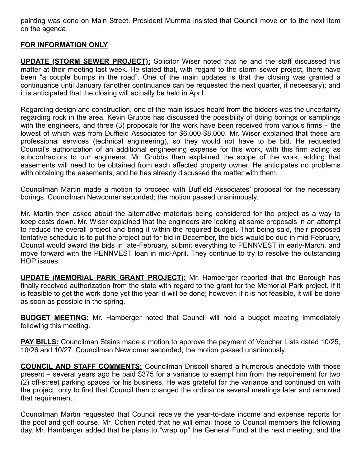painting was done on Main Street. President Mumma insisted that Council move on to the next item on the agenda.

## FOR INFORMATION ONLY

**UPDATE (STORM SEWER PROJECT):** Solicitor Wiser noted that he and the staff discussed this matter at their meeting last week. He stated that, with regard to the storm sewer project, there have been "a couple bumps in the road". One of the main updates is that the closing was granted a continuance until January (another continuance can be requested the next quarter, if necessary); and it is anticipated that the closing will actually be held in April.

Regarding design and construction, one of the main issues heard from the bidders was the uncertainty regarding rock in the area. Kevin Grubbs has discussed the possibility of doing borings or samplings with the engineers, and three (3) proposals for the work have been received from various firms – the lowest of which was from Duffield Associates for \$6,000-\$8,000. Mr. Wiser explained that these are professional services (technical engineering), so they would not have to be bid. He requested Council's authorization of an additional engineering expense for this work, with this firm acting as subcontractors to our engineers. Mr. Grubbs then explained the scope of the work, adding that easements will need to be obtained from each affected property owner. He anticipates no problems with obtaining the easements, and he has already discussed the matter with them.

Councilman Martin made a motion to proceed with Duffield Associates' proposal for the necessary borings. Councilman Newcomer seconded; the motion passed unanimously.

Mr. Martin then asked about the alternative materials being considered for the project as a way to keep costs down. Mr. Wiser explained that the engineers are looking at some proposals in an attempt to reduce the overall project and bring it within the required budget. That being said, their proposed tentative schedule is to put the project out for bid in December, the bids would be due in mid-February, Council would award the bids in late-February, submit everything to PENNVEST in early-March, and move forward with the PENNVEST loan in mid-April. They continue to try to resolve the outstanding HOP issues.

**UPDATE (MEMORIAL PARK GRANT PROJECT):** Mr. Hamberger reported that the Borough has finally received authorization from the state with regard to the grant for the Memorial Park project. If it is feasible to get the work done yet this year, it will be done; however, if it is not feasible, it will be done as soon as possible in the spring.

**BUDGET MEETING:** Mr. Hamberger noted that Council will hold a budget meeting immediately following this meeting.

**PAY BILLS:** Councilman Stains made a motion to approve the payment of Voucher Lists dated 10/25, 10/26 and 10/27. Councilman Newcomer seconded; the motion passed unanimously.

COUNCIL AND STAFF COMMENTS: Councilman Driscoll shared a humorous anecdote with those present – several years ago he paid \$375 for a variance to exempt him from the requirement for two (2) off-street parking spaces for his business. He was grateful for the variance and continued on with the project, only to find that Council then changed the ordinance several meetings later and removed that requirement.

Councilman Martin requested that Council receive the year-to-date income and expense reports for the pool and golf course. Mr. Cohen noted that he will email those to Council members the following day. Mr. Hamberger added that he plans to "wrap up" the General Fund at the next meeting; and the